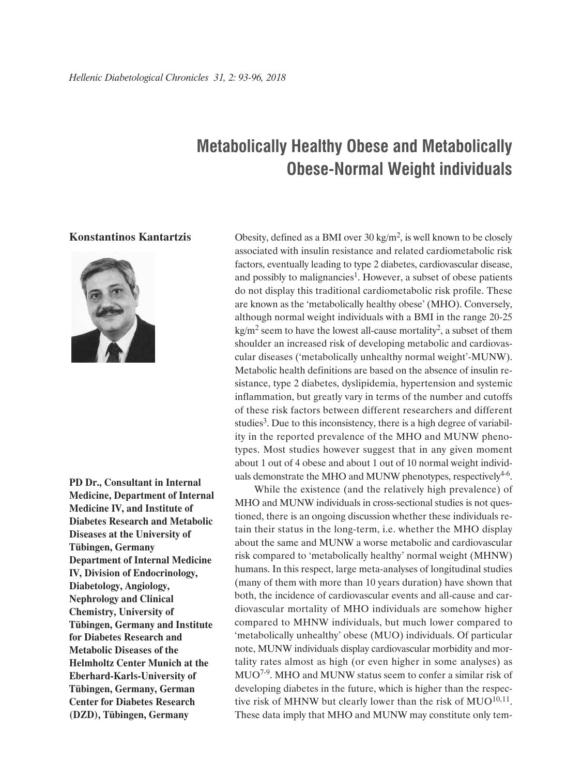## **Metabolically Healthy Obese and Metabolically Obese-Normal Weight individuals**

## **Konstantinos Kantartzis**



**PD Dr., Consultant in Internal Medicine, Department of Internal Medicine IV, and Institute of Diabetes Research and Metabolic Diseases at the University of Tübingen, Germany Department of Internal Medicine IV, Division of Endocrinology, Diabetology, Angiology, Nephrology and Clinical Chemistry, University of Tübingen, Germany and Institute for Diabetes Research and Metabolic Diseases of the Helmholtz Center Munich at the Eberhard-Karls-University of Tübingen, Germany, German Center for Diabetes Research (DZD), Tübingen, Germany**

Obesity, defined as a BMI over  $30 \text{ kg/m}^2$ , is well known to be closely associated with insulin resistance and related cardiometabolic risk factors, eventually leading to type 2 diabetes, cardiovascular disease, and possibly to malignancies<sup>1</sup>. However, a subset of obese patients do not display this traditional cardiometabolic risk profile. These are known as the 'metabolically healthy obese' (MHO). Conversely, although normal weight individuals with a BMI in the range 20-25  $kg/m<sup>2</sup>$  seem to have the lowest all-cause mortality<sup>2</sup>, a subset of them shoulder an increased risk of developing metabolic and cardiovascular diseases ('metabolically unhealthy normal weight'-MUNW). Metabolic health definitions are based on the absence of insulin resistance, type 2 diabetes, dyslipidemia, hypertension and systemic inflammation, but greatly vary in terms of the number and cutoffs of these risk factors between different researchers and different studies<sup>3</sup>. Due to this inconsistency, there is a high degree of variability in the reported prevalence of the MHO and MUNW phenotypes. Most studies however suggest that in any given moment about 1 out of 4 obese and about 1 out of 10 normal weight individuals demonstrate the MHO and MUNW phenotypes, respectively $4-6$ .

While the existence (and the relatively high prevalence) of MHO and MUNW individuals in cross-sectional studies is not questioned, there is an ongoing discussion whether these individuals retain their status in the long-term, i.e. whether the MHO display about the same and MUNW a worse metabolic and cardiovascular risk compared to 'metabolically healthy' normal weight (MHNW) humans. In this respect, large meta-analyses of longitudinal studies (many of them with more than 10 years duration) have shown that both, the incidence of cardiovascular events and all-cause and cardiovascular mortality of MHO individuals are somehow higher compared to MHNW individuals, but much lower compared to 'metabolically unhealthy' obese (MUO) individuals. Of particular note, MUNW individuals display cardiovascular morbidity and mortality rates almost as high (or even higher in some analyses) as MUO7-9. MHO and MUNW status seem to confer a similar risk of developing diabetes in the future, which is higher than the respective risk of MHNW but clearly lower than the risk of  $MUO^{10,11}$ . These data imply that MHO and MUNW may constitute only tem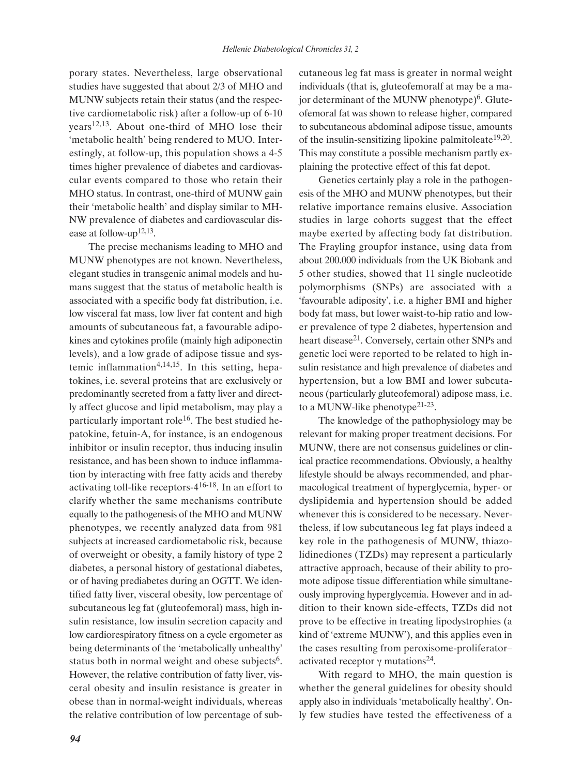porary states. Nevertheless, large observational studies have suggested that about 2/3 of MHO and MUNW subjects retain their status (and the respective cardiometabolic risk) after a follow-up of 6-10 years12,13. About one-third of MHO lose their 'metabolic health' being rendered to MUO. Interestingly, at follow-up, this population shows a 4-5 times higher prevalence of diabetes and cardiovascular events compared to those who retain their MHO status. In contrast, one-third of MUNW gain their 'metabolic health' and display similar to MH-NW prevalence of diabetes and cardiovascular disease at follow-up<sup>12,13</sup>.

The precise mechanisms leading to MHO and MUNW phenotypes are not known. Nevertheless, elegant studies in transgenic animal models and humans suggest that the status of metabolic health is associated with a specific body fat distribution, i.e. low visceral fat mass, low liver fat content and high amounts of subcutaneous fat, a favourable adipokines and cytokines profile (mainly high adiponectin levels), and a low grade of adipose tissue and systemic inflammation<sup>4,14,15</sup>. In this setting, hepatokines, i.e. several proteins that are exclusively or predominantly secreted from a fatty liver and directly affect glucose and lipid metabolism, may play a particularly important role<sup>16</sup>. The best studied hepatokine, fetuin-A, for instance, is an endogenous inhibitor or insulin receptor, thus inducing insulin resistance, and has been shown to induce inflammation by interacting with free fatty acids and thereby activating toll-like receptors-416-18. In an effort to clarify whether the same mechanisms contribute equally to the pathogenesis of the MHO and MUNW phenotypes, we recently analyzed data from 981 subjects at increased cardiometabolic risk, because of overweight or obesity, a family history of type 2 diabetes, a personal history of gestational diabetes, or of having prediabetes during an OGTT. We identified fatty liver, visceral obesity, low percentage of subcutaneous leg fat (gluteofemoral) mass, high insulin resistance, low insulin secretion capacity and low cardiorespiratory fitness on a cycle ergometer as being determinants of the 'metabolically unhealthy' status both in normal weight and obese subjects<sup>6</sup>. However, the relative contribution of fatty liver, visceral obesity and insulin resistance is greater in obese than in normal-weight individuals, whereas the relative contribution of low percentage of subcutaneous leg fat mass is greater in normal weight individuals (that is, gluteofemoralf at may be a major determinant of the MUNW phenotype $)^6$ . Gluteofemoral fat was shown to release higher, compared to subcutaneous abdominal adipose tissue, amounts of the insulin-sensitizing lipokine palmitoleate<sup>19,20</sup>. This may constitute a possible mechanism partly explaining the protective effect of this fat depot.

Genetics certainly play a role in the pathogenesis of the MHO and MUNW phenotypes, but their relative importance remains elusive. Association studies in large cohorts suggest that the effect maybe exerted by affecting body fat distribution. The Frayling groupfor instance, using data from about 200.000 individuals from the UK Biobank and 5 other studies, showed that 11 single nucleotide polymorphisms (SNPs) are associated with a 'favourable adiposity', i.e. a higher BMI and higher body fat mass, but lower waist-to-hip ratio and lower prevalence of type 2 diabetes, hypertension and heart disease<sup>21</sup>. Conversely, certain other SNPs and genetic loci were reported to be related to high insulin resistance and high prevalence of diabetes and hypertension, but a low BMI and lower subcutaneous (particularly gluteofemoral) adipose mass, i.e. to a MUNW-like phenotype<sup>21-23</sup>.

The knowledge of the pathophysiology may be relevant for making proper treatment decisions. For MUNW, there are not consensus guidelines or clinical practice recommendations. Obviously, a healthy lifestyle should be always recommended, and pharmacological treatment of hyperglycemia, hyper- or dyslipidemia and hypertension should be added whenever this is considered to be necessary. Nevertheless, if low subcutaneous leg fat plays indeed a key role in the pathogenesis of MUNW, thiazolidinediones (TZDs) may represent a particularly attractive approach, because of their ability to promote adipose tissue differentiation while simultaneously improving hyperglycemia. However and in addition to their known side-effects, TZDs did not prove to be effective in treating lipodystrophies (a kind of 'extreme MUNW'), and this applies even in the cases resulting from peroxisome-proliferator– activated receptor  $\gamma$  mutations<sup>24</sup>.

With regard to MHO, the main question is whether the general guidelines for obesity should apply also in individuals 'metabolically healthy'. Only few studies have tested the effectiveness of a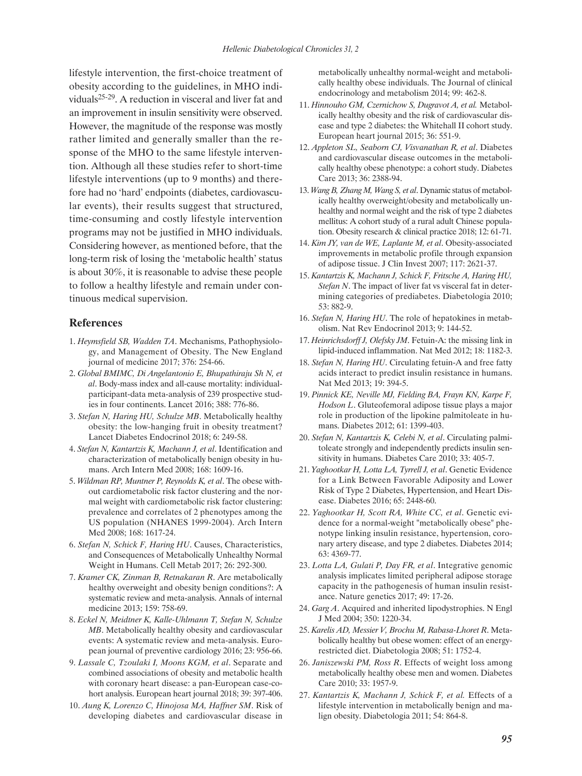lifestyle intervention, the first-choice treatment of obesity according to the guidelines, in MHO individuals<sup>25-29</sup>. A reduction in visceral and liver fat and an improvement in insulin sensitivity were observed. However, the magnitude of the response was mostly rather limited and generally smaller than the response of the MHO to the same lifestyle intervention. Although all these studies refer to short-time lifestyle interventions (up to 9 months) and therefore had no 'hard' endpoints (diabetes, cardiovascular events), their results suggest that structured, time-consuming and costly lifestyle intervention programs may not be justified in MHO individuals. Considering however, as mentioned before, that the long-term risk of losing the 'metabolic health' status is about 30%, it is reasonable to advise these people to follow a healthy lifestyle and remain under continuous medical supervision.

## **References**

- 1. *Heymsfield SB, Wadden TA*. Mechanisms, Pathophysiology, and Management of Obesity. The New England journal of medicine 2017; 376: 254-66.
- 2. *Global BMIMC, Di Angelantonio E, Bhupathiraju Sh N, et al*. Body-mass index and all-cause mortality: individualparticipant-data meta-analysis of 239 prospective studies in four continents. Lancet 2016; 388: 776-86.
- 3. *Stefan N, Haring HU, Schulze MB*. Metabolically healthy obesity: the low-hanging fruit in obesity treatment? Lancet Diabetes Endocrinol 2018; 6: 249-58.
- 4. *Stefan N, Kantartzis K, Machann J, et al*. Identification and characterization of metabolically benign obesity in humans. Arch Intern Med 2008; 168: 1609-16.
- 5. *Wildman RP, Muntner P, Reynolds K, et al*. The obese without cardiometabolic risk factor clustering and the normal weight with cardiometabolic risk factor clustering: prevalence and correlates of 2 phenotypes among the US population (NHANES 1999-2004). Arch Intern Med 2008; 168: 1617-24.
- 6. *Stefan N, Schick F, Haring HU*. Causes, Characteristics, and Consequences of Metabolically Unhealthy Normal Weight in Humans. Cell Metab 2017; 26: 292-300.
- 7. *Kramer CK, Zinman B, Retnakaran R*. Are metabolically healthy overweight and obesity benign conditions?: A systematic review and meta-analysis. Annals of internal medicine 2013; 159: 758-69.
- 8. *Eckel N, Meidtner K, Kalle-Uhlmann T, Stefan N, Schulze MB*. Metabolically healthy obesity and cardiovascular events: A systematic review and meta-analysis. European journal of preventive cardiology 2016; 23: 956-66.
- 9. *Lassale C, Tzoulaki I, Moons KGM, et al*. Separate and combined associations of obesity and metabolic health with coronary heart disease: a pan-European case-cohort analysis. European heart journal 2018; 39: 397-406.
- 10. *Aung K, Lorenzo C, Hinojosa MA, Haffner SM*. Risk of developing diabetes and cardiovascular disease in

metabolically unhealthy normal-weight and metabolically healthy obese individuals. The Journal of clinical endocrinology and metabolism 2014; 99: 462-8.

- 11. *Hinnouho GM, Czernichow S, Dugravot A, et al.* Metabolically healthy obesity and the risk of cardiovascular disease and type 2 diabetes: the Whitehall II cohort study. European heart journal 2015; 36: 551-9.
- 12. *Appleton SL, Seaborn CJ, Visvanathan R, et al*. Diabetes and cardiovascular disease outcomes in the metabolically healthy obese phenotype: a cohort study. Diabetes Care 2013; 36: 2388-94.
- 13. *Wang B, Zhang M, Wang S, et al*. Dynamic status of metabolically healthy overweight/obesity and metabolically unhealthy and normal weight and the risk of type 2 diabetes mellitus: A cohort study of a rural adult Chinese population. Obesity research & clinical practice 2018; 12: 61-71.
- 14. *Kim JY, van de WE, Laplante M, et al*. Obesity-associated improvements in metabolic profile through expansion of adipose tissue. J Clin Invest 2007; 117: 2621-37.
- 15. *Kantartzis K, Machann J, Schick F, Fritsche A, Haring HU, Stefan N*. The impact of liver fat vs visceral fat in determining categories of prediabetes. Diabetologia 2010; 53: 882-9.
- 16. *Stefan N, Haring HU*. The role of hepatokines in metabolism. Nat Rev Endocrinol 2013; 9: 144-52.
- 17. *Heinrichsdorff J, Olefsky JM*. Fetuin-A: the missing link in lipid-induced inflammation. Nat Med 2012; 18: 1182-3.
- 18. *Stefan N, Haring HU*. Circulating fetuin-A and free fatty acids interact to predict insulin resistance in humans. Nat Med 2013; 19: 394-5.
- 19. *Pinnick KE, Neville MJ, Fielding BA, Frayn KN, Karpe F, Hodson L*. Gluteofemoral adipose tissue plays a major role in production of the lipokine palmitoleate in humans. Diabetes 2012; 61: 1399-403.
- 20. *Stefan N, Kantartzis K, Celebi N, et al*. Circulating palmitoleate strongly and independently predicts insulin sensitivity in humans. Diabetes Care 2010; 33: 405-7.
- 21. *Yaghootkar H, Lotta LA, Tyrrell J, et al*. Genetic Evidence for a Link Between Favorable Adiposity and Lower Risk of Type 2 Diabetes, Hypertension, and Heart Disease. Diabetes 2016; 65: 2448-60.
- 22. *Yaghootkar H, Scott RA, White CC, et al*. Genetic evidence for a normal-weight "metabolically obese" phenotype linking insulin resistance, hypertension, coronary artery disease, and type 2 diabetes. Diabetes 2014; 63: 4369-77.
- 23. *Lotta LA, Gulati P, Day FR, et al*. Integrative genomic analysis implicates limited peripheral adipose storage capacity in the pathogenesis of human insulin resistance. Nature genetics 2017; 49: 17-26.
- 24. *Garg A*. Acquired and inherited lipodystrophies. N Engl J Med 2004; 350: 1220-34.
- 25. *Karelis AD, Messier V, Brochu M, Rabasa-Lhoret R*. Metabolically healthy but obese women: effect of an energyrestricted diet. Diabetologia 2008; 51: 1752-4.
- 26. *Janiszewski PM, Ross R*. Effects of weight loss among metabolically healthy obese men and women. Diabetes Care 2010; 33: 1957-9.
- 27. *Kantartzis K, Machann J, Schick F, et al.* Effects of a lifestyle intervention in metabolically benign and malign obesity. Diabetologia 2011; 54: 864-8.